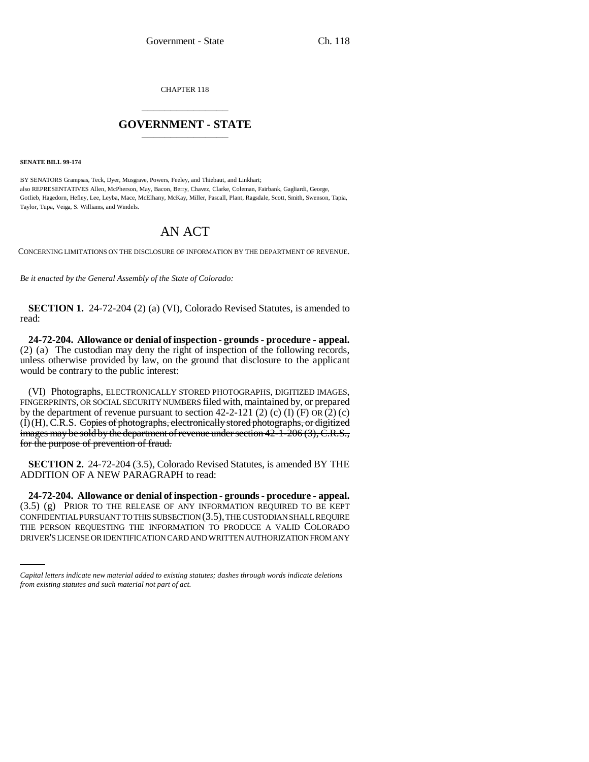CHAPTER 118 \_\_\_\_\_\_\_\_\_\_\_\_\_\_\_

## **GOVERNMENT - STATE** \_\_\_\_\_\_\_\_\_\_\_\_\_\_\_

**SENATE BILL 99-174** 

BY SENATORS Grampsas, Teck, Dyer, Musgrave, Powers, Feeley, and Thiebaut, and Linkhart; also REPRESENTATIVES Allen, McPherson, May, Bacon, Berry, Chavez, Clarke, Coleman, Fairbank, Gagliardi, George, Gotlieb, Hagedorn, Hefley, Lee, Leyba, Mace, McElhany, McKay, Miller, Pascall, Plant, Ragsdale, Scott, Smith, Swenson, Tapia, Taylor, Tupa, Veiga, S. Williams, and Windels.

## AN ACT

CONCERNING LIMITATIONS ON THE DISCLOSURE OF INFORMATION BY THE DEPARTMENT OF REVENUE.

*Be it enacted by the General Assembly of the State of Colorado:*

**SECTION 1.** 24-72-204 (2) (a) (VI), Colorado Revised Statutes, is amended to read:

**24-72-204. Allowance or denial of inspection - grounds - procedure - appeal.** (2) (a) The custodian may deny the right of inspection of the following records, unless otherwise provided by law, on the ground that disclosure to the applicant would be contrary to the public interest:

(VI) Photographs, ELECTRONICALLY STORED PHOTOGRAPHS, DIGITIZED IMAGES, FINGERPRINTS, OR SOCIAL SECURITY NUMBERS filed with, maintained by, or prepared by the department of revenue pursuant to section 42-2-121 (2) (c) (I)  $(F)$  OR  $(2)$  (c) (I)(H), C.R.S. Copies of photographs, electronically stored photographs, or digitized images may be sold by the department of revenue under section 42-1-206 (3), C.R.S., for the purpose of prevention of fraud.

**SECTION 2.** 24-72-204 (3.5), Colorado Revised Statutes, is amended BY THE ADDITION OF A NEW PARAGRAPH to read:

CONFIDENTIAL PURSUANT TO THIS SUBSECTION (3.5), THE CUSTODIAN SHALL REQUIRE **24-72-204. Allowance or denial of inspection - grounds - procedure - appeal.** (3.5) (g) PRIOR TO THE RELEASE OF ANY INFORMATION REQUIRED TO BE KEPT THE PERSON REQUESTING THE INFORMATION TO PRODUCE A VALID COLORADO DRIVER'S LICENSE OR IDENTIFICATION CARD AND WRITTEN AUTHORIZATION FROM ANY

*Capital letters indicate new material added to existing statutes; dashes through words indicate deletions from existing statutes and such material not part of act.*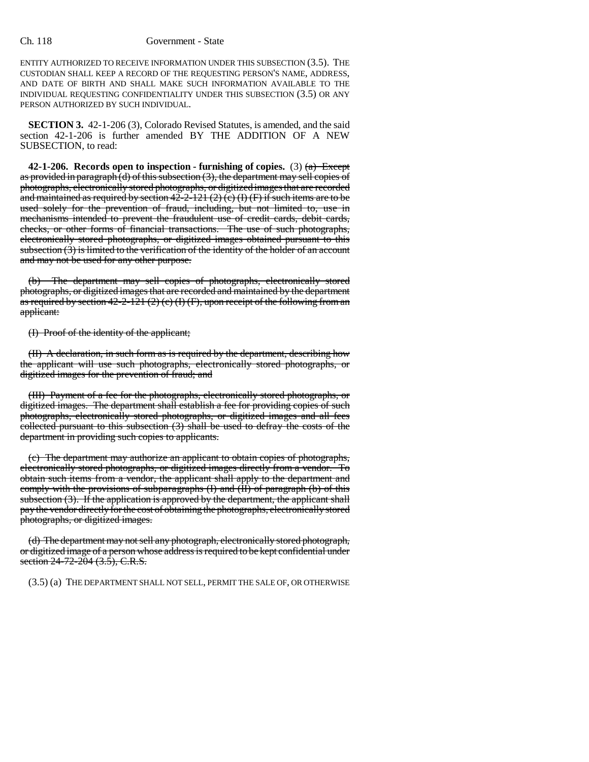## Ch. 118 Government - State

ENTITY AUTHORIZED TO RECEIVE INFORMATION UNDER THIS SUBSECTION (3.5). THE CUSTODIAN SHALL KEEP A RECORD OF THE REQUESTING PERSON'S NAME, ADDRESS, AND DATE OF BIRTH AND SHALL MAKE SUCH INFORMATION AVAILABLE TO THE INDIVIDUAL REQUESTING CONFIDENTIALITY UNDER THIS SUBSECTION (3.5) OR ANY PERSON AUTHORIZED BY SUCH INDIVIDUAL.

**SECTION 3.** 42-1-206 (3), Colorado Revised Statutes, is amended, and the said section 42-1-206 is further amended BY THE ADDITION OF A NEW SUBSECTION, to read:

**42-1-206.** Records open to inspection - furnishing of copies. (3)  $\left(\frac{a}{b}\right)$  Except as provided in paragraph (d) of this subsection  $(3)$ , the department may sell copies of photographs, electronically stored photographs, or digitized images that are recorded and maintained as required by section  $42-2-121$  (2) (c) (I) (F) if such items are to be used solely for the prevention of fraud, including, but not limited to, use in mechanisms intended to prevent the fraudulent use of credit cards, debit cards, checks, or other forms of financial transactions. The use of such photographs, electronically stored photographs, or digitized images obtained pursuant to this subsection  $(3)$  is limited to the verification of the identity of the holder of an account and may not be used for any other purpose.

(b) The department may sell copies of photographs, electronically stored photographs, or digitized images that are recorded and maintained by the department as required by section  $42-2-121(2)(c)(f)(F)$ , upon receipt of the following from an applicant:

(I) Proof of the identity of the applicant;

(II) A declaration, in such form as is required by the department, describing how the applicant will use such photographs, electronically stored photographs, or digitized images for the prevention of fraud; and

(III) Payment of a fee for the photographs, electronically stored photographs, or digitized images. The department shall establish a fee for providing copies of such photographs, electronically stored photographs, or digitized images and all fees collected pursuant to this subsection  $(3)$  shall be used to defray the costs of the department in providing such copies to applicants.

(c) The department may authorize an applicant to obtain copies of photographs, electronically stored photographs, or digitized images directly from a vendor. To obtain such items from a vendor, the applicant shall apply to the department and comply with the provisions of subparagraphs (I) and (II) of paragraph (b) of this subsection (3). If the application is approved by the department, the applicant shall pay the vendor directly for the cost of obtaining the photographs, electronically stored photographs, or digitized images.

(d) The department may not sell any photograph, electronically stored photograph, or digitized image of a person whose address is required to be kept confidential under section 24-72-204 (3.5), C.R.S.

(3.5) (a) THE DEPARTMENT SHALL NOT SELL, PERMIT THE SALE OF, OR OTHERWISE